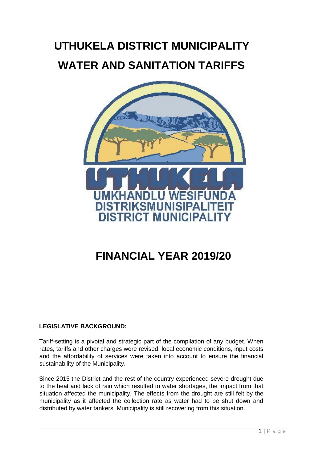# **UTHUKELA DISTRICT MUNICIPALITY WATER AND SANITATION TARIFFS**



## **FINANCIAL YEAR 2019/20**

#### **LEGISLATIVE BACKGROUND:**

Tariff-setting is a pivotal and strategic part of the compilation of any budget. When rates, tariffs and other charges were revised, local economic conditions, input costs and the affordability of services were taken into account to ensure the financial sustainability of the Municipality.

Since 2015 the District and the rest of the country experienced severe drought due to the heat and lack of rain which resulted to water shortages, the impact from that situation affected the municipality. The effects from the drought are still felt by the municipality as it affected the collection rate as water had to be shut down and distributed by water tankers. Municipality is still recovering from this situation.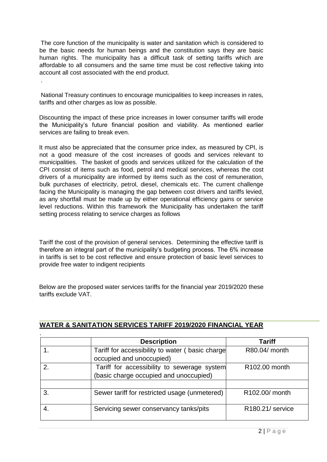The core function of the municipality is water and sanitation which is considered to be the basic needs for human beings and the constitution says they are basic human rights. The municipality has a difficult task of setting tariffs which are affordable to all consumers and the same time must be cost reflective taking into account all cost associated with the end product.

National Treasury continues to encourage municipalities to keep increases in rates, tariffs and other charges as low as possible.

.

Discounting the impact of these price increases in lower consumer tariffs will erode the Municipality's future financial position and viability. As mentioned earlier services are failing to break even.

It must also be appreciated that the consumer price index, as measured by CPI, is not a good measure of the cost increases of goods and services relevant to municipalities. The basket of goods and services utilized for the calculation of the CPI consist of items such as food, petrol and medical services, whereas the cost drivers of a municipality are informed by items such as the cost of remuneration, bulk purchases of electricity, petrol, diesel, chemicals etc. The current challenge facing the Municipality is managing the gap between cost drivers and tariffs levied, as any shortfall must be made up by either operational efficiency gains or service level reductions. Within this framework the Municipality has undertaken the tariff setting process relating to service charges as follows

Tariff the cost of the provision of general services. Determining the effective tariff is therefore an integral part of the municipality's budgeting process. The 6% increase in tariffs is set to be cost reflective and ensure protection of basic level services to provide free water to indigent recipients

Below are the proposed water services tariffs for the financial year 2019/2020 these tariffs exclude VAT.

|    | <b>Description</b>                                                                    | <b>Tariff</b>                 |
|----|---------------------------------------------------------------------------------------|-------------------------------|
|    | Tariff for accessibility to water (basic charge<br>occupied and unoccupied)           | R80.04/ month                 |
|    | Tariff for accessibility to sewerage system<br>(basic charge occupied and unoccupied) | R <sub>102.00</sub> month     |
|    |                                                                                       |                               |
| 3. | Sewer tariff for restricted usage (unmetered)                                         | R102.00/ month                |
|    | Servicing sewer conservancy tanks/pits                                                | R <sub>180.21</sub> / service |

#### **WATER & SANITATION SERVICES TARIFF 2019/2020 FINANCIAL YEAR**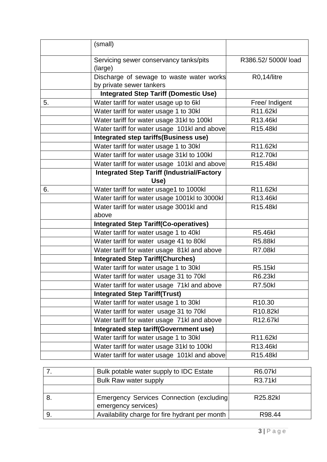|    | (small)                                                   |                    |
|----|-----------------------------------------------------------|--------------------|
|    | Servicing sewer conservancy tanks/pits<br>(large)         | R386.52/5000l/load |
|    | Discharge of sewage to waste water works                  | R0,14/litre        |
|    | by private sewer tankers                                  |                    |
|    | <b>Integrated Step Tariff (Domestic Use)</b>              |                    |
| 5. | Water tariff for water usage up to 6kl                    | Free/ Indigent     |
|    | Water tariff for water usage 1 to 30kl                    | R11.62kl           |
|    | Water tariff for water usage 31kl to 100kl                | R13.46kl           |
|    | Water tariff for water usage 101kl and above              | R15.48kl           |
|    | <b>Integrated step tariffs(Business use)</b>              |                    |
|    | Water tariff for water usage 1 to 30kl                    | R11.62kl           |
|    | Water tariff for water usage 31kl to 100kl                | R12.70kl           |
|    | Water tariff for water usage 101kl and above              | R15.48kl           |
|    | <b>Integrated Step Tariff (Industrial/Factory</b><br>Use) |                    |
| 6. | Water tariff for water usage1 to 1000kl                   | R11.62kl           |
|    | Water tariff for water usage 1001kl to 3000kl             | R13.46kl           |
|    | Water tariff for water usage 3001kl and                   | R15.48kl           |
|    | above                                                     |                    |
|    | <b>Integrated Step Tariff(Co-operatives)</b>              |                    |
|    | Water tariff for water usage 1 to 40kl                    | <b>R5.46kl</b>     |
|    | Water tariff for water usage 41 to 80kl                   | <b>R5.88kl</b>     |
|    | Water tariff for water usage 81kl and above               | <b>R7.08kl</b>     |
|    | <b>Integrated Step Tariff(Churches)</b>                   |                    |
|    | Water tariff for water usage 1 to 30kl                    | <b>R5.15kl</b>     |
|    | Water tariff for water usage 31 to 70kl                   | R6.23kl            |
|    | Water tariff for water usage 71kl and above               | <b>R7.50kl</b>     |
|    | <b>Integrated Step Tariff(Trust)</b>                      |                    |
|    | Water tariff for water usage 1 to 30kl                    | R <sub>10.30</sub> |
|    | Water tariff for water usage 31 to 70kl                   | R10.82kl           |
|    | Water tariff for water usage 71kl and above               | R12.67kl           |
|    | Integrated step tariff(Government use)                    |                    |
|    | Water tariff for water usage 1 to 30kl                    | R11.62kl           |
|    | Water tariff for water usage 31kl to 100kl                | R13.46kl           |
|    | Water tariff for water usage 101kl and above              | R15.48kl           |

|    | Bulk potable water supply to IDC Estate                          | <b>R6.07kl</b> |
|----|------------------------------------------------------------------|----------------|
|    | <b>Bulk Raw water supply</b>                                     | R3.71kl        |
|    |                                                                  |                |
|    | Emergency Services Connection (excluding)<br>emergency services) | R25.82kl       |
| 9. | Availability charge for fire hydrant per month                   | R98.44         |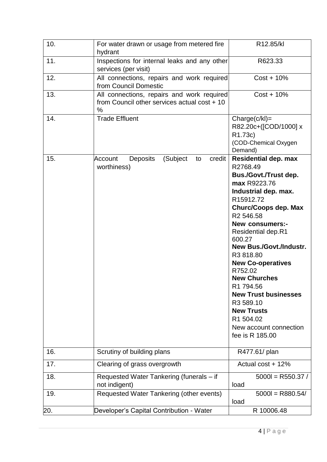| 10. | For water drawn or usage from metered fire<br>hydrant                                           | R12.85/kl                                                                                                                                                                                                                                                                                                                                                                                                                                                                                                      |
|-----|-------------------------------------------------------------------------------------------------|----------------------------------------------------------------------------------------------------------------------------------------------------------------------------------------------------------------------------------------------------------------------------------------------------------------------------------------------------------------------------------------------------------------------------------------------------------------------------------------------------------------|
| 11. | Inspections for internal leaks and any other<br>services (per visit)                            | R623.33                                                                                                                                                                                                                                                                                                                                                                                                                                                                                                        |
| 12. | All connections, repairs and work required<br>from Council Domestic                             | $Cost + 10\%$                                                                                                                                                                                                                                                                                                                                                                                                                                                                                                  |
| 13. | All connections, repairs and work required<br>from Council other services actual cost + 10<br>% | $Cost + 10\%$                                                                                                                                                                                                                                                                                                                                                                                                                                                                                                  |
| 14. | <b>Trade Effluent</b>                                                                           | $Change(c/kI) =$<br>R82.20c+([COD/1000] x<br>R1.73c)<br>(COD-Chemical Oxygen<br>Demand)                                                                                                                                                                                                                                                                                                                                                                                                                        |
| 15. | (Subject<br>credit<br>Account<br><b>Deposits</b><br>to<br>worthiness)                           | <b>Residential dep. max</b><br>R2768.49<br><b>Bus./Govt./Trust dep.</b><br>max R9223.76<br>Industrial dep. max.<br>R15912.72<br><b>Churc/Coops dep. Max</b><br>R <sub>2</sub> 546.58<br><b>New consumers:-</b><br>Residential dep.R1<br>600.27<br><b>New Bus./Govt./Industr.</b><br>R3818.80<br><b>New Co-operatives</b><br>R752.02<br><b>New Churches</b><br>R <sub>1</sub> 794.56<br><b>New Trust businesses</b><br>R3 589.10<br><b>New Trusts</b><br>R1 504.02<br>New account connection<br>fee is R 185.00 |
| 16. | Scrutiny of building plans                                                                      | R477.61/ plan                                                                                                                                                                                                                                                                                                                                                                                                                                                                                                  |
| 17. | Clearing of grass overgrowth                                                                    | Actual cost + 12%                                                                                                                                                                                                                                                                                                                                                                                                                                                                                              |
| 18. | Requested Water Tankering (funerals - if<br>not indigent)                                       | $5000l = R550.37/$<br>load                                                                                                                                                                                                                                                                                                                                                                                                                                                                                     |
| 19. | Requested Water Tankering (other events)                                                        | $5000 = R880.54/$<br>load                                                                                                                                                                                                                                                                                                                                                                                                                                                                                      |
| 20. | Developer's Capital Contribution - Water                                                        | R 10006.48                                                                                                                                                                                                                                                                                                                                                                                                                                                                                                     |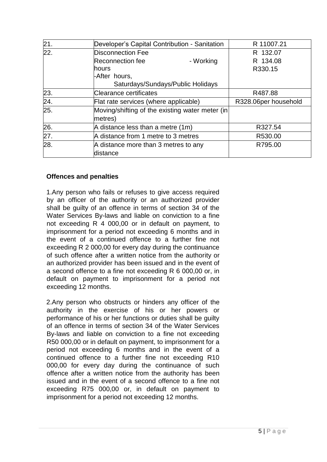| 21.               | Developer's Capital Contribution - Sanitation              | R 11007.21           |
|-------------------|------------------------------------------------------------|----------------------|
| $\overline{22}$ . | Disconnection Fee                                          | R 132.07             |
|                   | <b>Reconnection fee</b><br>- Working                       | R 134.08             |
|                   | hours                                                      | R330.15              |
|                   | -After hours,                                              |                      |
|                   | Saturdays/Sundays/Public Holidays                          |                      |
| 23.               | Clearance certificates                                     | R487.88              |
| 24.               | Flat rate services (where applicable)                      | R328.06per household |
| 25.               | Moving/shifting of the existing water meter (in<br>metres) |                      |
| 26.               | A distance less than a metre (1m)                          | R327.54              |
| 27.               | A distance from 1 metre to 3 metres                        | R530.00              |
| 28.               | A distance more than 3 metres to any                       | R795.00              |
|                   | distance                                                   |                      |

#### **Offences and penalties**

1.Any person who fails or refuses to give access required by an officer of the authority or an authorized provider shall be guilty of an offence in terms of section 34 of the Water Services By-laws and liable on conviction to a fine not exceeding R 4 000,00 or in default on payment, to imprisonment for a period not exceeding 6 months and in the event of a continued offence to a further fine not exceeding R 2 000,00 for every day during the continuance of such offence after a written notice from the authority or an authorized provider has been issued and in the event of a second offence to a fine not exceeding R 6 000,00 or, in default on payment to imprisonment for a period not exceeding 12 months.

2.Any person who obstructs or hinders any officer of the authority in the exercise of his or her powers or performance of his or her functions or duties shall be guilty of an offence in terms of section 34 of the Water Services By-laws and liable on conviction to a fine not exceeding R50 000,00 or in default on payment, to imprisonment for a period not exceeding 6 months and in the event of a continued offence to a further fine not exceeding R10 000,00 for every day during the continuance of such offence after a written notice from the authority has been issued and in the event of a second offence to a fine not exceeding R75 000,00 or, in default on payment to imprisonment for a period not exceeding 12 months.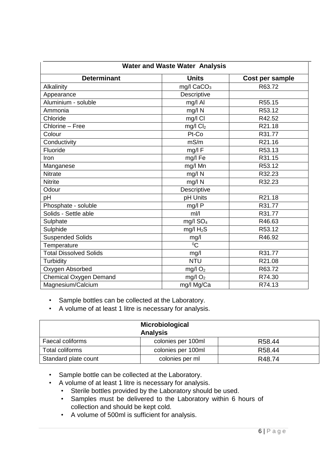| <b>Water and Waste Water Analysis</b>                 |                        |        |  |  |  |  |  |
|-------------------------------------------------------|------------------------|--------|--|--|--|--|--|
| <b>Determinant</b><br><b>Units</b><br>Cost per sample |                        |        |  |  |  |  |  |
| Alkalinity                                            | mg/l CaCO <sub>3</sub> | R63.72 |  |  |  |  |  |
| Appearance                                            | Descriptive            |        |  |  |  |  |  |
| Aluminium - soluble                                   | mg/l Al                | R55.15 |  |  |  |  |  |
| Ammonia                                               | mg/l N                 | R53.12 |  |  |  |  |  |
| Chloride                                              | mg/l Cl                | R42.52 |  |  |  |  |  |
| Chlorine - Free                                       | $mg/l$ $Cl2$           | R21.18 |  |  |  |  |  |
| Colour                                                | Pt-Co                  | R31.77 |  |  |  |  |  |
| Conductivity                                          | mS/m                   | R21.16 |  |  |  |  |  |
| Fluoride                                              | mg/l F                 | R53.13 |  |  |  |  |  |
| Iron                                                  | mg/l Fe                | R31.15 |  |  |  |  |  |
| Manganese                                             | mg/l Mn                | R53.12 |  |  |  |  |  |
| <b>Nitrate</b>                                        | $mg/l$ N               | R32.23 |  |  |  |  |  |
| <b>Nitrite</b>                                        | mg/l N                 | R32.23 |  |  |  |  |  |
| Odour                                                 | Descriptive            |        |  |  |  |  |  |
| pH                                                    | pH Units               | R21.18 |  |  |  |  |  |
| Phosphate - soluble                                   | mg/l P                 | R31.77 |  |  |  |  |  |
| Solids - Settle able                                  | $m$ <sub>I</sub> /I    | R31.77 |  |  |  |  |  |
| Sulphate                                              | mg/l SO <sub>4</sub>   | R46.63 |  |  |  |  |  |
| Sulphide                                              | mg/l $H_2S$            | R53.12 |  |  |  |  |  |
| <b>Suspended Solids</b>                               | mg/l                   | R46.92 |  |  |  |  |  |
| Temperature                                           | $\overline{C}$         |        |  |  |  |  |  |
| <b>Total Dissolved Solids</b>                         | mg/l                   | R31.77 |  |  |  |  |  |
| Turbidity                                             | <b>NTU</b>             | R21.08 |  |  |  |  |  |
| Oxygen Absorbed                                       | mg/l $O2$              | R63.72 |  |  |  |  |  |
| <b>Chemical Oxygen Demand</b>                         | $mg/l$ O <sub>2</sub>  | R74.30 |  |  |  |  |  |
| Magnesium/Calcium                                     | mg/l Mg/Ca             | R74.13 |  |  |  |  |  |

• Sample bottles can be collected at the Laboratory.

• A volume of at least 1 litre is necessary for analysis.

|                      | Microbiological<br><b>Analysis</b> |                    |
|----------------------|------------------------------------|--------------------|
| Faecal coliforms     | colonies per 100ml                 | R <sub>58.44</sub> |
| Total coliforms      | colonies per 100ml                 | R <sub>58.44</sub> |
| Standard plate count | colonies per ml                    | R48.74             |

- Sample bottle can be collected at the Laboratory.
- A volume of at least 1 litre is necessary for analysis.
	- Sterile bottles provided by the Laboratory should be used.
		- Samples must be delivered to the Laboratory within 6 hours of collection and should be kept cold.
		- A volume of 500ml is sufficient for analysis.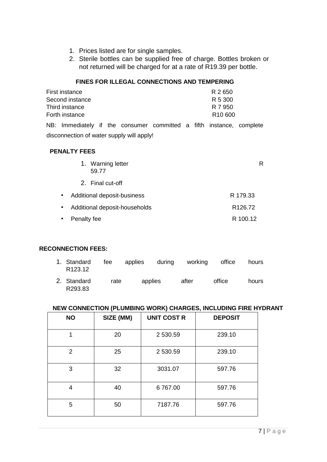- 1. Prices listed are for single samples.
- 2. Sterile bottles can be supplied free of charge. Bottles broken or not returned will be charged for at a rate of R19.39 per bottle.

#### **FINES FOR ILLEGAL CONNECTIONS AND TEMPERING**

| First instance                                                       |  |  |  | R 2650              |  |
|----------------------------------------------------------------------|--|--|--|---------------------|--|
| Second instance                                                      |  |  |  | R 5 300             |  |
| Third instance                                                       |  |  |  | R 7 950             |  |
| Forth instance                                                       |  |  |  | R <sub>10</sub> 600 |  |
| NB: Immediately if the consumer committed a fifth instance, complete |  |  |  |                     |  |

disconnection of water supply will apply!

#### **PENALTY FEES**

|                                                                   | 1. Warning letter<br>59.77  | R        |  |  |
|-------------------------------------------------------------------|-----------------------------|----------|--|--|
|                                                                   | 2. Final cut-off            |          |  |  |
| $\bullet$                                                         | Additional deposit-business | R 179.33 |  |  |
| Additional deposit-households<br>R <sub>126.72</sub><br>$\bullet$ |                             |          |  |  |
| $\bullet$                                                         | Penalty fee                 | R 100.12 |  |  |

#### **RECONNECTION FEES:**

| 1. Standard fee applies during working office hours<br>R123.12 |  |  |  |
|----------------------------------------------------------------|--|--|--|
|                                                                |  |  |  |

2. Standard rate applies after office hours R293.83

#### **NEW CONNECTION (PLUMBING WORK) CHARGES, INCLUDING FIRE HYDRANT**

| <b>NO</b> | SIZE (MM) | <b>UNIT COST R</b> | <b>DEPOSIT</b> |
|-----------|-----------|--------------------|----------------|
| 1         | 20        | 2 530.59           | 239.10         |
| 2         | 25        | 2 530.59           | 239.10         |
| 3         | 32        | 3031.07            | 597.76         |
| 4         | 40        | 6767.00            | 597.76         |
| 5         | 50        | 7187.76            | 597.76         |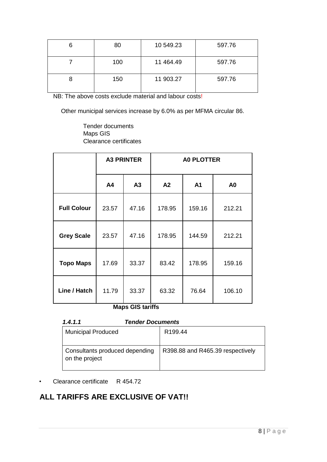| 6 | 80  | 10 549.23 | 597.76 |
|---|-----|-----------|--------|
|   | 100 | 11 464.49 | 597.76 |
| 8 | 150 | 11 903.27 | 597.76 |

NB: The above costs exclude material and labour costs!

Other municipal services increase by 6.0% as per MFMA circular 86.

Tender documents Maps GIS Clearance certificates

|                    |              | <b>A3 PRINTER</b>      | <b>A0 PLOTTER</b> |                |                |  |
|--------------------|--------------|------------------------|-------------------|----------------|----------------|--|
|                    | A4           | A3                     | A2                | A <sub>1</sub> | A <sub>0</sub> |  |
| <b>Full Colour</b> | 23.57        | 47.16                  | 178.95            | 159.16         | 212.21         |  |
| <b>Grey Scale</b>  | 23.57        | 47.16                  | 178.95            | 144.59         | 212.21         |  |
| <b>Topo Maps</b>   | 17.69        | 33.37                  | 83.42             | 178.95         | 159.16         |  |
| Line / Hatch       | 11.79<br>RA. | 33.37<br><b>OIO</b> 1. | 63.32<br>.        | 76.64          | 106.10         |  |

**Maps GIS tariffs** 

| 1.4.1.1                                          | <b>Tender Documents</b>          |  |  |
|--------------------------------------------------|----------------------------------|--|--|
| <b>Municipal Produced</b>                        | R <sub>199.44</sub>              |  |  |
| Consultants produced depending<br>on the project | R398.88 and R465.39 respectively |  |  |

• Clearance certificate R 454.72

### **ALL TARIFFS ARE EXCLUSIVE OF VAT!!**